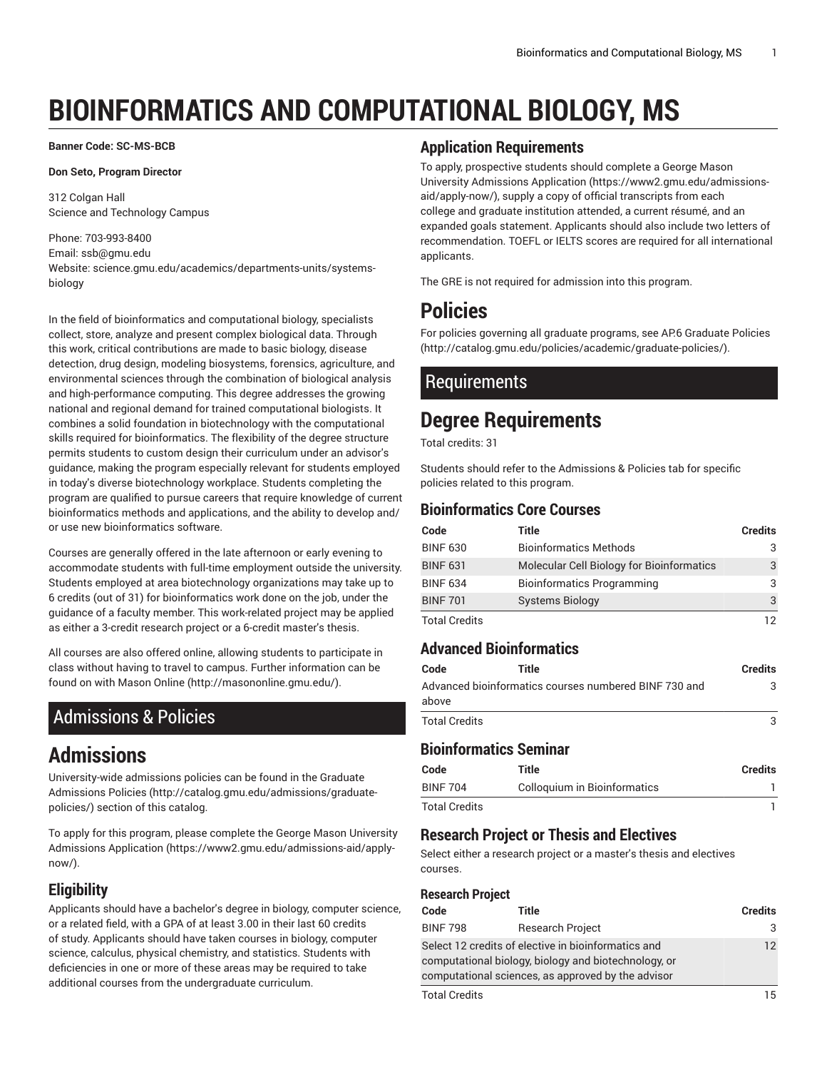# **BIOINFORMATICS AND COMPUTATIONAL BIOLOGY, MS**

**Banner Code: SC-MS-BCB**

#### **Don Seto, Program Director**

312 Colgan Hall Science and Technology Campus

#### Phone: 703-993-8400 Email: [ssb@gmu.edu](mailto:ssb@gmu.edu) Website: science.gmu.edu/academics/departments-units/systemsbiology

In the field of bioinformatics and computational biology, specialists collect, store, analyze and present complex biological data. Through this work, critical contributions are made to basic biology, disease detection, drug design, modeling biosystems, forensics, agriculture, and environmental sciences through the combination of biological analysis and high-performance computing. This degree addresses the growing national and regional demand for trained computational biologists. It combines a solid foundation in biotechnology with the computational skills required for bioinformatics. The flexibility of the degree structure permits students to custom design their curriculum under an advisor's guidance, making the program especially relevant for students employed in today's diverse biotechnology workplace. Students completing the program are qualified to pursue careers that require knowledge of current bioinformatics methods and applications, and the ability to develop and/ or use new bioinformatics software.

Courses are generally offered in the late afternoon or early evening to accommodate students with full-time employment outside the university. Students employed at area biotechnology organizations may take up to 6 credits (out of 31) for bioinformatics work done on the job, under the guidance of a faculty member. This work-related project may be applied as either a 3-credit research project or a 6-credit master's thesis.

All courses are also offered online, allowing students to participate in class without having to travel to campus. Further information can be found on with [Mason Online \(http://masononline.gmu.edu/](http://masononline.gmu.edu/)).

# <span id="page-0-0"></span>Admissions & Policies

# **Admissions**

University-wide admissions policies can be found in the [Graduate](http://catalog.gmu.edu/admissions/graduate-policies/) [Admissions](http://catalog.gmu.edu/admissions/graduate-policies/) Policies [\(http://catalog.gmu.edu/admissions/graduate](http://catalog.gmu.edu/admissions/graduate-policies/)[policies/](http://catalog.gmu.edu/admissions/graduate-policies/)) section of this catalog.

To apply for this program, please complete the George Mason [University](https://www2.gmu.edu/admissions-aid/apply-now/) [Admissions Application](https://www2.gmu.edu/admissions-aid/apply-now/) ([https://www2.gmu.edu/admissions-aid/apply](https://www2.gmu.edu/admissions-aid/apply-now/)[now/](https://www2.gmu.edu/admissions-aid/apply-now/)).

# **Eligibility**

Applicants should have a bachelor's degree in biology, computer science, or a related field, with a GPA of at least 3.00 in their last 60 credits of study. Applicants should have taken courses in biology, computer science, calculus, physical chemistry, and statistics. Students with deficiencies in one or more of these areas may be required to take additional courses from the undergraduate curriculum.

#### **Application Requirements**

To apply, prospective students should complete a [George](https://www2.gmu.edu/admissions-aid/apply-now/) Mason University [Admissions](https://www2.gmu.edu/admissions-aid/apply-now/) Application ([https://www2.gmu.edu/admissions](https://www2.gmu.edu/admissions-aid/apply-now/)[aid/apply-now/\)](https://www2.gmu.edu/admissions-aid/apply-now/), supply a copy of official transcripts from each college and graduate institution attended, a current résumé, and an expanded goals statement. Applicants should also include two letters of recommendation. TOEFL or IELTS scores are required for all international applicants.

The GRE is not required for admission into this program.

# **Policies**

For policies governing all graduate programs, see AP.6 [Graduate](http://catalog.gmu.edu/policies/academic/graduate-policies/) Policies [\(http://catalog.gmu.edu/policies/academic/graduate-policies/\)](http://catalog.gmu.edu/policies/academic/graduate-policies/).

# Requirements

# **Degree Requirements**

Total credits: 31

Students should refer to the [Admissions](#page-0-0) & Policies tab for specific policies related to this program.

### **Bioinformatics Core Courses**

| Code                 | Title                                     | <b>Credits</b> |
|----------------------|-------------------------------------------|----------------|
| <b>BINF 630</b>      | <b>Bioinformatics Methods</b>             |                |
| <b>BINF 631</b>      | Molecular Cell Biology for Bioinformatics | 3              |
| <b>BINF 634</b>      | <b>Bioinformatics Programming</b>         | 3              |
| <b>BINF 701</b>      | <b>Systems Biology</b>                    | 3              |
| <b>Total Credits</b> |                                           |                |

### **Advanced Bioinformatics**

| Code          | Title                                                 | <b>Credits</b> |
|---------------|-------------------------------------------------------|----------------|
| above         | Advanced bioinformatics courses numbered BINF 730 and | З              |
| Total Credits |                                                       | 3              |

# **Bioinformatics Seminar**

| Code                 | Title                        | <b>Credits</b> |
|----------------------|------------------------------|----------------|
| <b>BINF 704</b>      | Colloquium in Bioinformatics |                |
| <b>Total Credits</b> |                              |                |

# **Research Project or Thesis and Electives**

Select either a research project or a master's thesis and electives courses.

#### **Research Project**

| Code                                                                                                                                                              | Title                   | <b>Credits</b> |
|-------------------------------------------------------------------------------------------------------------------------------------------------------------------|-------------------------|----------------|
| <b>BINF 798</b>                                                                                                                                                   | <b>Research Project</b> | 3              |
| Select 12 credits of elective in bioinformatics and<br>computational biology, biology and biotechnology, or<br>computational sciences, as approved by the advisor |                         | 12             |
| <b>Total Credits</b>                                                                                                                                              |                         | 15             |